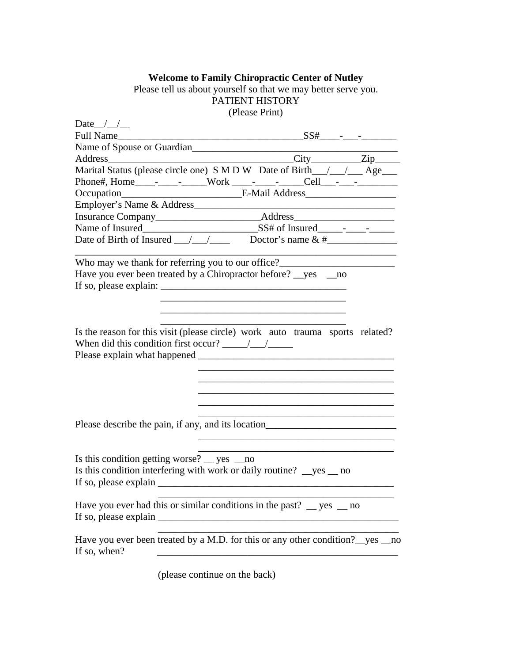## **Welcome to Family Chiropractic Center of Nutley**

Please tell us about yourself so that we may better serve you. PATIENT HISTORY (Please Print)

| Date $/$ /                                                                                                                                                                                                                                                                                                                                                                                                    |  |
|---------------------------------------------------------------------------------------------------------------------------------------------------------------------------------------------------------------------------------------------------------------------------------------------------------------------------------------------------------------------------------------------------------------|--|
| <b>Full Name</b>                                                                                                                                                                                                                                                                                                                                                                                              |  |
| Name of Spouse or Guardian                                                                                                                                                                                                                                                                                                                                                                                    |  |
|                                                                                                                                                                                                                                                                                                                                                                                                               |  |
| Marital Status (please circle one) S M D W Date of Birth_/_/__/__Age___                                                                                                                                                                                                                                                                                                                                       |  |
|                                                                                                                                                                                                                                                                                                                                                                                                               |  |
|                                                                                                                                                                                                                                                                                                                                                                                                               |  |
|                                                                                                                                                                                                                                                                                                                                                                                                               |  |
|                                                                                                                                                                                                                                                                                                                                                                                                               |  |
|                                                                                                                                                                                                                                                                                                                                                                                                               |  |
| Date of Birth of Insured $\frac{1}{\sqrt{1-\frac{1}{n}}}$ Doctor's name & #                                                                                                                                                                                                                                                                                                                                   |  |
| Who may we thank for referring you to our office?_______________________________                                                                                                                                                                                                                                                                                                                              |  |
| Have you ever been treated by a Chiropractor before? ves no                                                                                                                                                                                                                                                                                                                                                   |  |
| If so, please explain: $\frac{1}{\sqrt{1-\frac{1}{\sqrt{1-\frac{1}{\sqrt{1-\frac{1}{\sqrt{1-\frac{1}{\sqrt{1-\frac{1}{\sqrt{1-\frac{1}{\sqrt{1-\frac{1}{\sqrt{1-\frac{1}{\sqrt{1-\frac{1}{\sqrt{1-\frac{1}{\sqrt{1-\frac{1}{\sqrt{1-\frac{1}{\sqrt{1-\frac{1}{\sqrt{1-\frac{1}{\sqrt{1-\frac{1}{\sqrt{1-\frac{1}{\sqrt{1-\frac{1}{\sqrt{1-\frac{1}{\sqrt{1-\frac{1}{\sqrt{1-\frac{1}{\sqrt{1-\frac{1}{\sqrt{$ |  |
|                                                                                                                                                                                                                                                                                                                                                                                                               |  |
|                                                                                                                                                                                                                                                                                                                                                                                                               |  |
|                                                                                                                                                                                                                                                                                                                                                                                                               |  |
| Is the reason for this visit (please circle) work auto trauma sports related?                                                                                                                                                                                                                                                                                                                                 |  |
| When did this condition first occur? $\frac{\sqrt{1-\lambda}}{\lambda}$                                                                                                                                                                                                                                                                                                                                       |  |
|                                                                                                                                                                                                                                                                                                                                                                                                               |  |
|                                                                                                                                                                                                                                                                                                                                                                                                               |  |
|                                                                                                                                                                                                                                                                                                                                                                                                               |  |
|                                                                                                                                                                                                                                                                                                                                                                                                               |  |
|                                                                                                                                                                                                                                                                                                                                                                                                               |  |
|                                                                                                                                                                                                                                                                                                                                                                                                               |  |
| Please describe the pain, if any, and its location_______________________________                                                                                                                                                                                                                                                                                                                             |  |
|                                                                                                                                                                                                                                                                                                                                                                                                               |  |
|                                                                                                                                                                                                                                                                                                                                                                                                               |  |
| Is this condition getting worse? $\_\$ yes $\_\$ no                                                                                                                                                                                                                                                                                                                                                           |  |
| Is this condition interfering with work or daily routine? $\_\text{yes}$ no                                                                                                                                                                                                                                                                                                                                   |  |
|                                                                                                                                                                                                                                                                                                                                                                                                               |  |
|                                                                                                                                                                                                                                                                                                                                                                                                               |  |
| Have you ever had this or similar conditions in the past? $\frac{1}{2}$ yes $\frac{1}{2}$ no                                                                                                                                                                                                                                                                                                                  |  |
|                                                                                                                                                                                                                                                                                                                                                                                                               |  |
|                                                                                                                                                                                                                                                                                                                                                                                                               |  |
| Have you ever been treated by a M.D. for this or any other condition? yes no                                                                                                                                                                                                                                                                                                                                  |  |
| If so, when?                                                                                                                                                                                                                                                                                                                                                                                                  |  |
|                                                                                                                                                                                                                                                                                                                                                                                                               |  |
| (please continue on the back)                                                                                                                                                                                                                                                                                                                                                                                 |  |